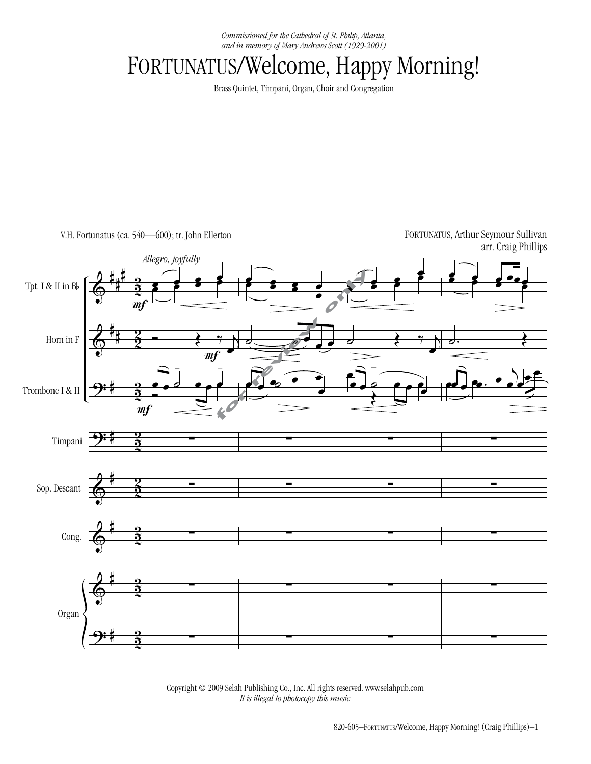*Commissioned for the Cathedral of St. Philip, Atlanta, and in memory of Mary Andrews Scott (1929-2001)*

## FORTUNATUS/Welcome, Happy Morning!

Brass Quintet, Timpani, Organ, Choir and Congregation

V.H. Fortunatus (ca. 540—600); tr. John Ellerton

FORTUNATUS, Arthur Seymour Sullivan arr. Craig Phillips



Copyright © 2009 Selah Publishing Co., Inc. All rights reserved. www.selahpub.com *It is illegal to photocopy this music* Printed in the U.S.A. on recycled paper. *It is illegal to photocopy this music.*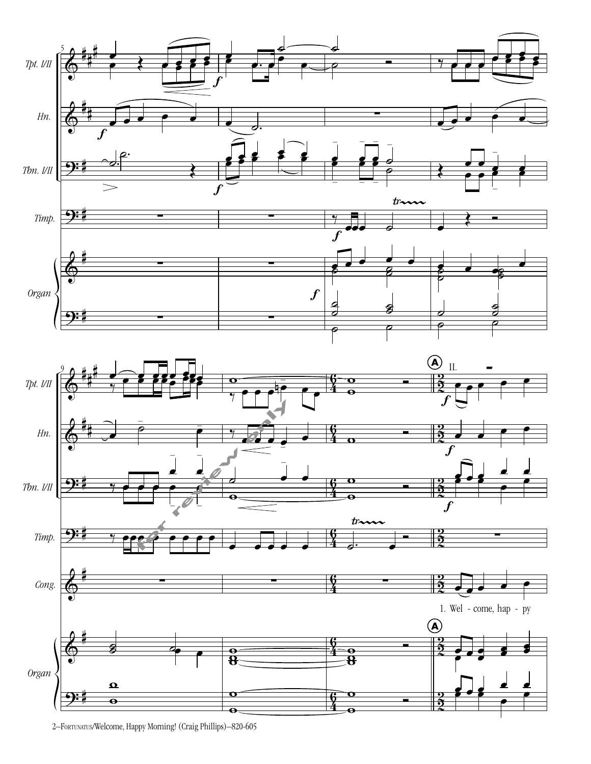



 $\overline{\bullet}$ 

**94** 

 $\frac{2}{2}$ 

2–Fortunatus/Welcome, Happy Morning! (Craig Phillips)–820-605

 $\mathbf{e}$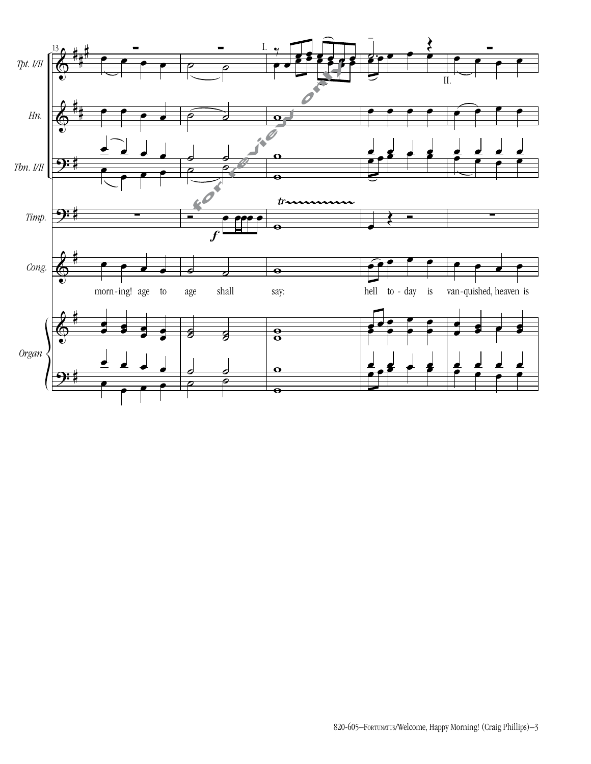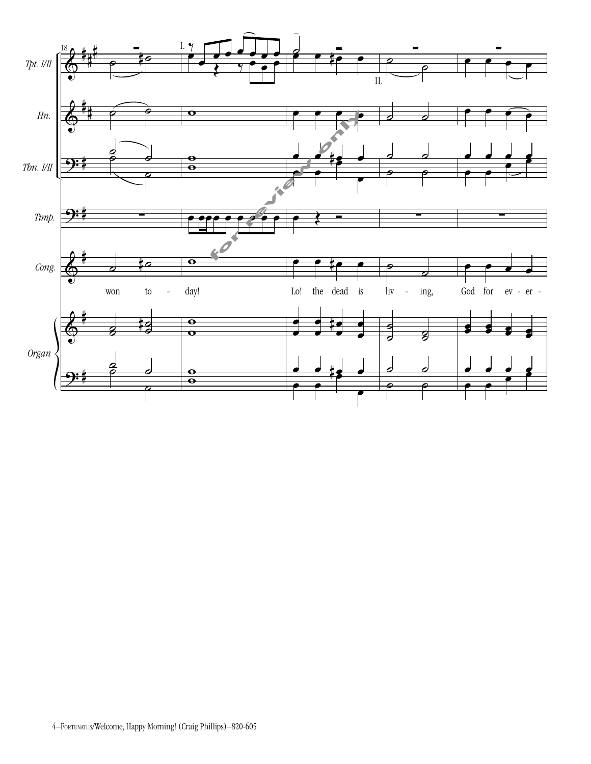